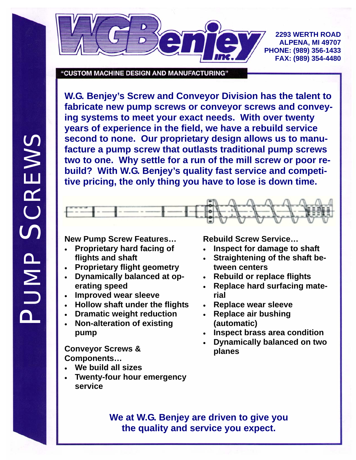

**2293 WERTH ROAD ALPENA, MI 49707 PHONE: (989) 356-1433 FAX: (989) 354-4480** 

"CUSTOM MACHINE DESIGN AND MANUFACTURING"

**W.G. Benjey's Screw and Conveyor Division has the talent to fabricate new pump screws or conveyor screws and conveying systems to meet your exact needs. With over twenty years of experience in the field, we have a rebuild service second to none. Our proprietary design allows us to manufacture a pump screw that outlasts traditional pump screws two to one. Why settle for a run of the mill screw or poor rebuild? With W.G. Benjey's quality fast service and competitive pricing, the only thing you have to lose is down time.** 



## **New Pump Screw Features…**

- **Proprietary hard facing of flights and shaft**
- **Proprietary flight geometry**
- **Dynamically balanced at operating speed**
- **Improved wear sleeve**
- **Hollow shaft under the flights**
- **Dramatic weight reduction**
- **Non-alteration of existing pump**

- **We build all sizes**
- **Twenty-four hour emergency service**

**Rebuild Screw Service…** 

- **Inspect for damage to shaft**
- **Straightening of the shaft between centers**
- **Rebuild or replace flights**
- **Replace hard surfacing material**
- **Replace wear sleeve**
- **Replace air bushing (automatic)**
- **Inspect brass area condition**
- **Dynamically balanced on two Conveyor Screws & planes Components…**

**We at W.G. Benjey are driven to give you the quality and service you expect.**